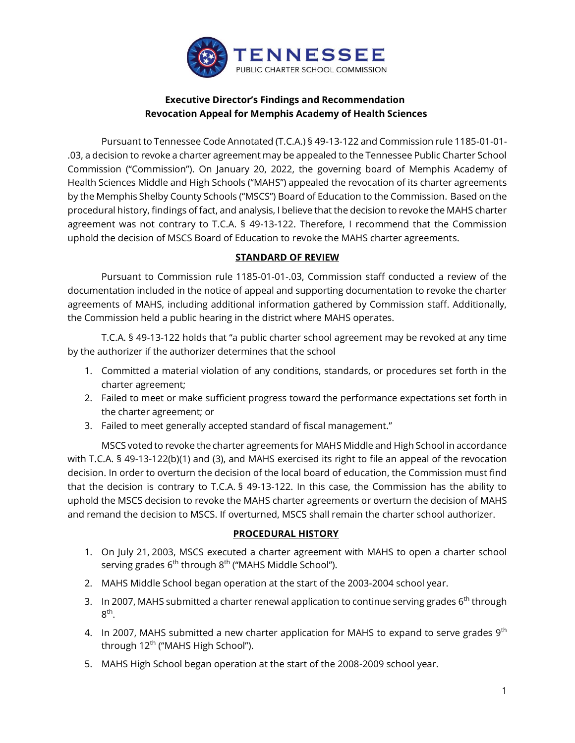

# **Executive Director's Findings and Recommendation Revocation Appeal for Memphis Academy of Health Sciences**

Pursuant to Tennessee Code Annotated (T.C.A.) § 49-13-122 and Commission rule 1185-01-01- .03, a decision to revoke a charter agreement may be appealed to the Tennessee Public Charter School Commission ("Commission"). On January 20, 2022, the governing board of Memphis Academy of Health Sciences Middle and High Schools ("MAHS") appealed the revocation of its charter agreements by the Memphis Shelby County Schools ("MSCS") Board of Education to the Commission. Based on the procedural history, findings of fact, and analysis, I believe that the decision to revoke the MAHS charter agreement was not contrary to T.C.A. § 49-13-122. Therefore, I recommend that the Commission uphold the decision of MSCS Board of Education to revoke the MAHS charter agreements.

## **STANDARD OF REVIEW**

Pursuant to Commission rule 1185-01-01-.03, Commission staff conducted a review of the documentation included in the notice of appeal and supporting documentation to revoke the charter agreements of MAHS, including additional information gathered by Commission staff. Additionally, the Commission held a public hearing in the district where MAHS operates.

T.C.A. § 49-13-122 holds that "a public charter school agreement may be revoked at any time by the authorizer if the authorizer determines that the school

- 1. Committed a material violation of any conditions, standards, or procedures set forth in the charter agreement;
- 2. Failed to meet or make sufficient progress toward the performance expectations set forth in the charter agreement; or
- 3. Failed to meet generally accepted standard of fiscal management."

MSCS voted to revoke the charter agreements for MAHS Middle and High School in accordance with T.C.A. § 49-13-122(b)(1) and (3), and MAHS exercised its right to file an appeal of the revocation decision. In order to overturn the decision of the local board of education, the Commission must find that the decision is contrary to T.C.A. § 49-13-122. In this case, the Commission has the ability to uphold the MSCS decision to revoke the MAHS charter agreements or overturn the decision of MAHS and remand the decision to MSCS. If overturned, MSCS shall remain the charter school authorizer.

### **PROCEDURAL HISTORY**

- 1. On July 21, 2003, MSCS executed a charter agreement with MAHS to open a charter school serving grades 6<sup>th</sup> through 8<sup>th</sup> ("MAHS Middle School").
- 2. MAHS Middle School began operation at the start of the 2003-2004 school year.
- 3. In 2007, MAHS submitted a charter renewal application to continue serving grades  $6<sup>th</sup>$  through 8<sup>th</sup>.
- 4. In 2007, MAHS submitted a new charter application for MAHS to expand to serve grades  $9<sup>th</sup>$ through 12<sup>th</sup> ("MAHS High School").
- 5. MAHS High School began operation at the start of the 2008-2009 school year.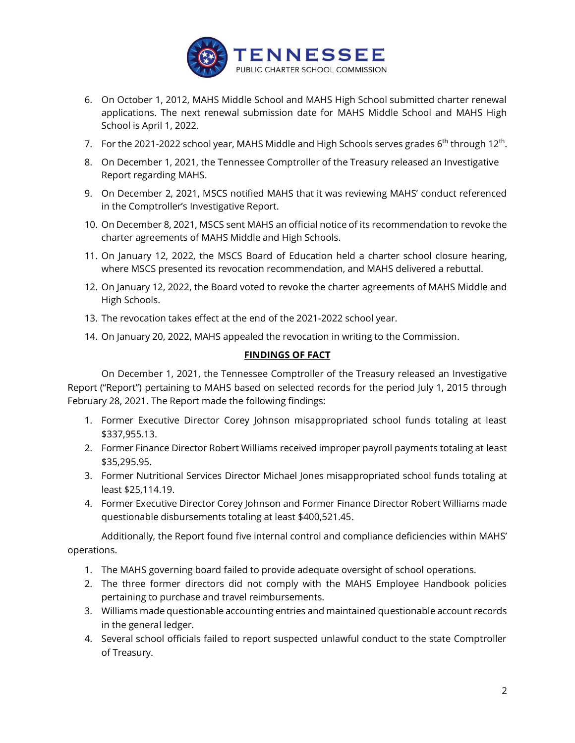

- 6. On October 1, 2012, MAHS Middle School and MAHS High School submitted charter renewal applications. The next renewal submission date for MAHS Middle School and MAHS High School is April 1, 2022.
- 7. For the 2021-2022 school year, MAHS Middle and High Schools serves grades 6<sup>th</sup> through 12<sup>th</sup>.
- 8. On December 1, 2021, the Tennessee Comptroller of the Treasury released an Investigative Report regarding MAHS.
- 9. On December 2, 2021, MSCS notified MAHS that it was reviewing MAHS' conduct referenced in the Comptroller's Investigative Report.
- 10. On December 8, 2021, MSCS sent MAHS an official notice of its recommendation to revoke the charter agreements of MAHS Middle and High Schools.
- 11. On January 12, 2022, the MSCS Board of Education held a charter school closure hearing, where MSCS presented its revocation recommendation, and MAHS delivered a rebuttal.
- 12. On January 12, 2022, the Board voted to revoke the charter agreements of MAHS Middle and High Schools.
- 13. The revocation takes effect at the end of the 2021-2022 school year.
- 14. On January 20, 2022, MAHS appealed the revocation in writing to the Commission.

### **FINDINGS OF FACT**

On December 1, 2021, the Tennessee Comptroller of the Treasury released an Investigative Report ("Report") pertaining to MAHS based on selected records for the period July 1, 2015 through February 28, 2021. The Report made the following findings:

- 1. Former Executive Director Corey Johnson misappropriated school funds totaling at least \$337,955.13.
- 2. Former Finance Director Robert Williams received improper payroll payments totaling at least \$35,295.95.
- 3. Former Nutritional Services Director Michael Jones misappropriated school funds totaling at least \$25,114.19.
- 4. Former Executive Director Corey Johnson and Former Finance Director Robert Williams made questionable disbursements totaling at least \$400,521.45.

Additionally, the Report found five internal control and compliance deficiencies within MAHS' operations.

- 1. The MAHS governing board failed to provide adequate oversight of school operations.
- 2. The three former directors did not comply with the MAHS Employee Handbook policies pertaining to purchase and travel reimbursements.
- 3. Williams made questionable accounting entries and maintained questionable account records in the general ledger.
- 4. Several school officials failed to report suspected unlawful conduct to the state Comptroller of Treasury.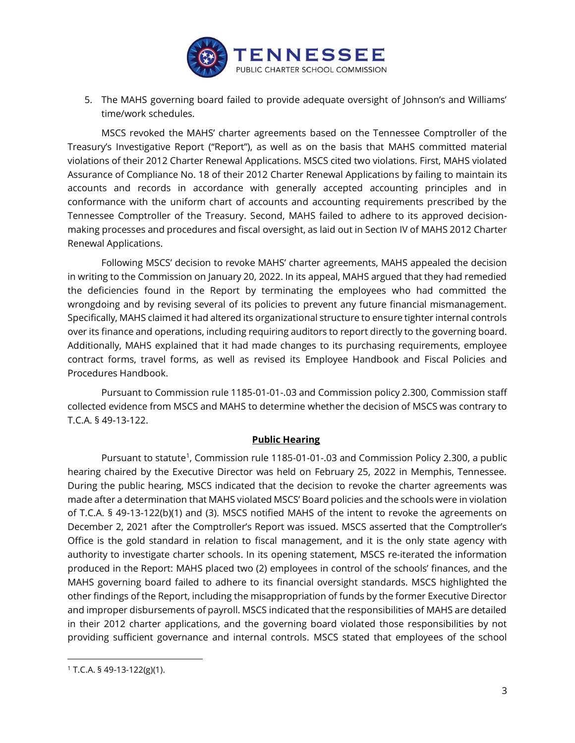

5. The MAHS governing board failed to provide adequate oversight of Johnson's and Williams' time/work schedules.

MSCS revoked the MAHS' charter agreements based on the Tennessee Comptroller of the Treasury's Investigative Report ("Report"), as well as on the basis that MAHS committed material violations of their 2012 Charter Renewal Applications. MSCS cited two violations. First, MAHS violated Assurance of Compliance No. 18 of their 2012 Charter Renewal Applications by failing to maintain its accounts and records in accordance with generally accepted accounting principles and in conformance with the uniform chart of accounts and accounting requirements prescribed by the Tennessee Comptroller of the Treasury. Second, MAHS failed to adhere to its approved decisionmaking processes and procedures and fiscal oversight, as laid out in Section IV of MAHS 2012 Charter Renewal Applications.

Following MSCS' decision to revoke MAHS' charter agreements, MAHS appealed the decision in writing to the Commission on January 20, 2022. In its appeal, MAHS argued that they had remedied the deficiencies found in the Report by terminating the employees who had committed the wrongdoing and by revising several of its policies to prevent any future financial mismanagement. Specifically, MAHS claimed it had altered its organizational structure to ensure tighter internal controls over its finance and operations, including requiring auditors to report directly to the governing board. Additionally, MAHS explained that it had made changes to its purchasing requirements, employee contract forms, travel forms, as well as revised its Employee Handbook and Fiscal Policies and Procedures Handbook.

Pursuant to Commission rule 1185-01-01-.03 and Commission policy 2.300, Commission staff collected evidence from MSCS and MAHS to determine whether the decision of MSCS was contrary to T.C.A. § 49-13-122.

#### **Public Hearing**

Pursuant to statute<sup>1</sup>, Commission rule 1185-01-01-.03 and Commission Policy 2.300, a public hearing chaired by the Executive Director was held on February 25, 2022 in Memphis, Tennessee. During the public hearing, MSCS indicated that the decision to revoke the charter agreements was made after a determination that MAHS violated MSCS' Board policies and the schools were in violation of T.C.A. § 49-13-122(b)(1) and (3). MSCS notified MAHS of the intent to revoke the agreements on December 2, 2021 after the Comptroller's Report was issued. MSCS asserted that the Comptroller's Office is the gold standard in relation to fiscal management, and it is the only state agency with authority to investigate charter schools. In its opening statement, MSCS re-iterated the information produced in the Report: MAHS placed two (2) employees in control of the schools' finances, and the MAHS governing board failed to adhere to its financial oversight standards. MSCS highlighted the other findings of the Report, including the misappropriation of funds by the former Executive Director and improper disbursements of payroll. MSCS indicated that the responsibilities of MAHS are detailed in their 2012 charter applications, and the governing board violated those responsibilities by not providing sufficient governance and internal controls. MSCS stated that employees of the school

 $1$  T.C.A. § 49-13-122(g)(1).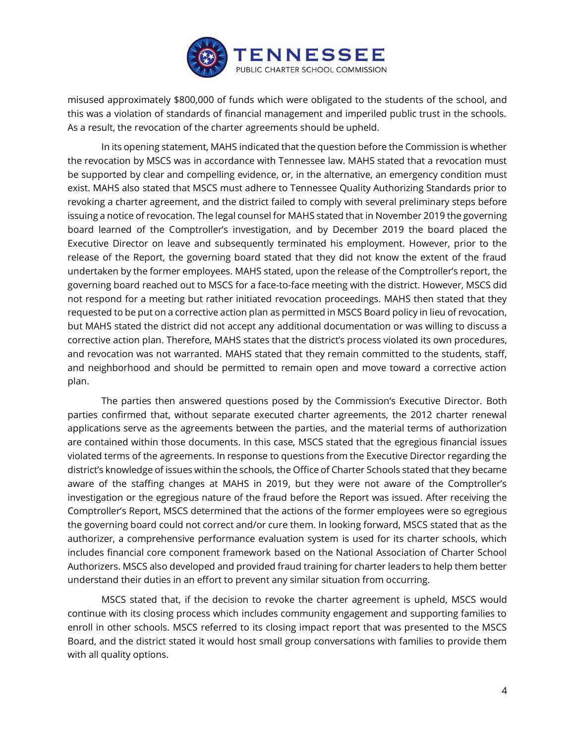

misused approximately \$800,000 of funds which were obligated to the students of the school, and this was a violation of standards of financial management and imperiled public trust in the schools. As a result, the revocation of the charter agreements should be upheld.

In its opening statement, MAHS indicated that the question before the Commission is whether the revocation by MSCS was in accordance with Tennessee law. MAHS stated that a revocation must be supported by clear and compelling evidence, or, in the alternative, an emergency condition must exist. MAHS also stated that MSCS must adhere to Tennessee Quality Authorizing Standards prior to revoking a charter agreement, and the district failed to comply with several preliminary steps before issuing a notice of revocation. The legal counsel for MAHS stated that in November 2019 the governing board learned of the Comptroller's investigation, and by December 2019 the board placed the Executive Director on leave and subsequently terminated his employment. However, prior to the release of the Report, the governing board stated that they did not know the extent of the fraud undertaken by the former employees. MAHS stated, upon the release of the Comptroller's report, the governing board reached out to MSCS for a face-to-face meeting with the district. However, MSCS did not respond for a meeting but rather initiated revocation proceedings. MAHS then stated that they requested to be put on a corrective action plan as permitted in MSCS Board policy in lieu of revocation, but MAHS stated the district did not accept any additional documentation or was willing to discuss a corrective action plan. Therefore, MAHS states that the district's process violated its own procedures, and revocation was not warranted. MAHS stated that they remain committed to the students, staff, and neighborhood and should be permitted to remain open and move toward a corrective action plan.

The parties then answered questions posed by the Commission's Executive Director. Both parties confirmed that, without separate executed charter agreements, the 2012 charter renewal applications serve as the agreements between the parties, and the material terms of authorization are contained within those documents. In this case, MSCS stated that the egregious financial issues violated terms of the agreements. In response to questions from the Executive Director regarding the district's knowledge of issues within the schools, the Office of Charter Schools stated that they became aware of the staffing changes at MAHS in 2019, but they were not aware of the Comptroller's investigation or the egregious nature of the fraud before the Report was issued. After receiving the Comptroller's Report, MSCS determined that the actions of the former employees were so egregious the governing board could not correct and/or cure them. In looking forward, MSCS stated that as the authorizer, a comprehensive performance evaluation system is used for its charter schools, which includes financial core component framework based on the National Association of Charter School Authorizers. MSCS also developed and provided fraud training for charter leaders to help them better understand their duties in an effort to prevent any similar situation from occurring.

MSCS stated that, if the decision to revoke the charter agreement is upheld, MSCS would continue with its closing process which includes community engagement and supporting families to enroll in other schools. MSCS referred to its closing impact report that was presented to the MSCS Board, and the district stated it would host small group conversations with families to provide them with all quality options.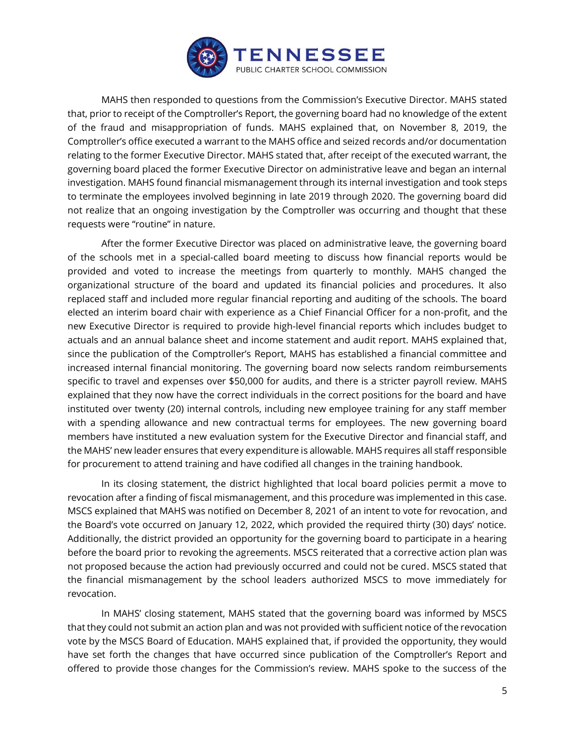

MAHS then responded to questions from the Commission's Executive Director. MAHS stated that, prior to receipt of the Comptroller's Report, the governing board had no knowledge of the extent of the fraud and misappropriation of funds. MAHS explained that, on November 8, 2019, the Comptroller's office executed a warrant to the MAHS office and seized records and/or documentation relating to the former Executive Director. MAHS stated that, after receipt of the executed warrant, the governing board placed the former Executive Director on administrative leave and began an internal investigation. MAHS found financial mismanagement through its internal investigation and took steps to terminate the employees involved beginning in late 2019 through 2020. The governing board did not realize that an ongoing investigation by the Comptroller was occurring and thought that these requests were "routine" in nature.

After the former Executive Director was placed on administrative leave, the governing board of the schools met in a special-called board meeting to discuss how financial reports would be provided and voted to increase the meetings from quarterly to monthly. MAHS changed the organizational structure of the board and updated its financial policies and procedures. It also replaced staff and included more regular financial reporting and auditing of the schools. The board elected an interim board chair with experience as a Chief Financial Officer for a non-profit, and the new Executive Director is required to provide high-level financial reports which includes budget to actuals and an annual balance sheet and income statement and audit report. MAHS explained that, since the publication of the Comptroller's Report, MAHS has established a financial committee and increased internal financial monitoring. The governing board now selects random reimbursements specific to travel and expenses over \$50,000 for audits, and there is a stricter payroll review. MAHS explained that they now have the correct individuals in the correct positions for the board and have instituted over twenty (20) internal controls, including new employee training for any staff member with a spending allowance and new contractual terms for employees. The new governing board members have instituted a new evaluation system for the Executive Director and financial staff, and the MAHS' new leader ensures that every expenditure is allowable. MAHS requires all staff responsible for procurement to attend training and have codified all changes in the training handbook.

In its closing statement, the district highlighted that local board policies permit a move to revocation after a finding of fiscal mismanagement, and this procedure was implemented in this case. MSCS explained that MAHS was notified on December 8, 2021 of an intent to vote for revocation, and the Board's vote occurred on January 12, 2022, which provided the required thirty (30) days' notice. Additionally, the district provided an opportunity for the governing board to participate in a hearing before the board prior to revoking the agreements. MSCS reiterated that a corrective action plan was not proposed because the action had previously occurred and could not be cured. MSCS stated that the financial mismanagement by the school leaders authorized MSCS to move immediately for revocation.

In MAHS' closing statement, MAHS stated that the governing board was informed by MSCS that they could not submit an action plan and was not provided with sufficient notice of the revocation vote by the MSCS Board of Education. MAHS explained that, if provided the opportunity, they would have set forth the changes that have occurred since publication of the Comptroller's Report and offered to provide those changes for the Commission's review. MAHS spoke to the success of the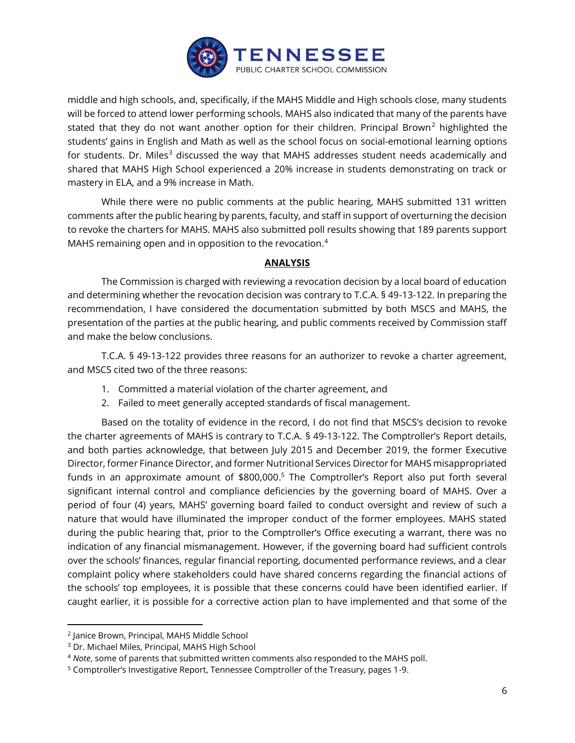

middle and high schools, and, specifically, if the MAHS Middle and High schools close, many students will be forced to attend lower performing schools. MAHS also indicated that many of the parents have stated that they do not want another option for their children. Principal Brown<sup>2</sup> highlighted the students' gains in English and Math as well as the school focus on social-emotional learning options for students. Dr. Miles<sup>3</sup> discussed the way that MAHS addresses student needs academically and shared that MAHS High School experienced a 20% increase in students demonstrating on track or mastery in ELA, and a 9% increase in Math.

While there were no public comments at the public hearing, MAHS submitted 131 written comments after the public hearing by parents, faculty, and staff in support of overturning the decision to revoke the charters for MAHS. MAHS also submitted poll results showing that 189 parents support MAHS remaining open and in opposition to the revocation.<sup>4</sup>

### **ANALYSIS**

The Commission is charged with reviewing a revocation decision by a local board of education and determining whether the revocation decision was contrary to T.C.A. § 49-13-122. In preparing the recommendation, I have considered the documentation submitted by both MSCS and MAHS, the presentation of the parties at the public hearing, and public comments received by Commission staff and make the below conclusions.

T.C.A. § 49-13-122 provides three reasons for an authorizer to revoke a charter agreement, and MSCS cited two of the three reasons:

- 1. Committed a material violation of the charter agreement, and
- 2. Failed to meet generally accepted standards of fiscal management.

Based on the totality of evidence in the record, I do not find that MSCS's decision to revoke the charter agreements of MAHS is contrary to T.C.A. § 49-13-122. The Comptroller's Report details, and both parties acknowledge, that between July 2015 and December 2019, the former Executive Director, former Finance Director, and former Nutritional Services Director for MAHS misappropriated funds in an approximate amount of \$800,000.<sup>5</sup> The Comptroller's Report also put forth several significant internal control and compliance deficiencies by the governing board of MAHS. Over a period of four (4) years, MAHS' governing board failed to conduct oversight and review of such a nature that would have illuminated the improper conduct of the former employees. MAHS stated during the public hearing that, prior to the Comptroller's Office executing a warrant, there was no indication of any financial mismanagement. However, if the governing board had sufficient controls over the schools' finances, regular financial reporting, documented performance reviews, and a clear complaint policy where stakeholders could have shared concerns regarding the financial actions of the schools' top employees, it is possible that these concerns could have been identified earlier. If caught earlier, it is possible for a corrective action plan to have implemented and that some of the

<sup>2</sup> Janice Brown, Principal, MAHS Middle School

<sup>3</sup> Dr. Michael Miles, Principal, MAHS High School

<sup>4</sup> *Note*, some of parents that submitted written comments also responded to the MAHS poll.

<sup>&</sup>lt;sup>5</sup> Comptroller's Investigative Report, Tennessee Comptroller of the Treasury, pages 1-9.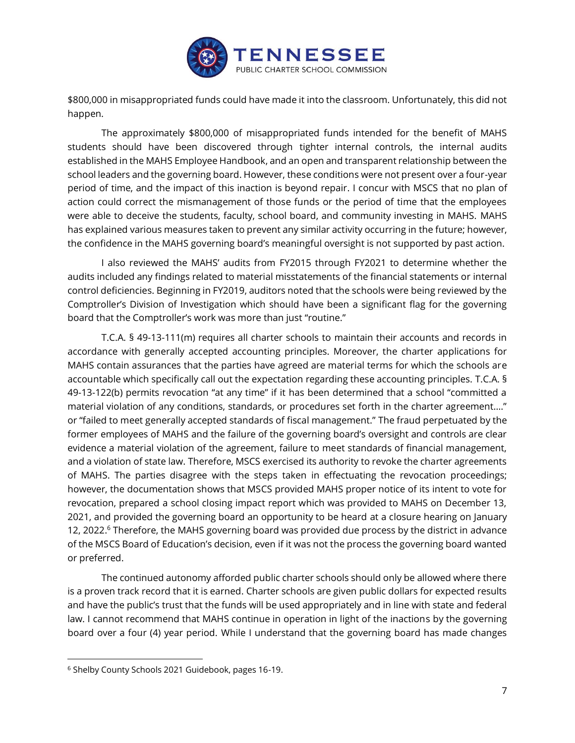

\$800,000 in misappropriated funds could have made it into the classroom. Unfortunately, this did not happen.

The approximately \$800,000 of misappropriated funds intended for the benefit of MAHS students should have been discovered through tighter internal controls, the internal audits established in the MAHS Employee Handbook, and an open and transparent relationship between the school leaders and the governing board. However, these conditions were not present over a four-year period of time, and the impact of this inaction is beyond repair. I concur with MSCS that no plan of action could correct the mismanagement of those funds or the period of time that the employees were able to deceive the students, faculty, school board, and community investing in MAHS. MAHS has explained various measures taken to prevent any similar activity occurring in the future; however, the confidence in the MAHS governing board's meaningful oversight is not supported by past action.

I also reviewed the MAHS' audits from FY2015 through FY2021 to determine whether the audits included any findings related to material misstatements of the financial statements or internal control deficiencies. Beginning in FY2019, auditors noted that the schools were being reviewed by the Comptroller's Division of Investigation which should have been a significant flag for the governing board that the Comptroller's work was more than just "routine."

T.C.A. § 49-13-111(m) requires all charter schools to maintain their accounts and records in accordance with generally accepted accounting principles. Moreover, the charter applications for MAHS contain assurances that the parties have agreed are material terms for which the schools are accountable which specifically call out the expectation regarding these accounting principles. T.C.A. § 49-13-122(b) permits revocation "at any time" if it has been determined that a school "committed a material violation of any conditions, standards, or procedures set forth in the charter agreement…." or "failed to meet generally accepted standards of fiscal management." The fraud perpetuated by the former employees of MAHS and the failure of the governing board's oversight and controls are clear evidence a material violation of the agreement, failure to meet standards of financial management, and a violation of state law. Therefore, MSCS exercised its authority to revoke the charter agreements of MAHS. The parties disagree with the steps taken in effectuating the revocation proceedings; however, the documentation shows that MSCS provided MAHS proper notice of its intent to vote for revocation, prepared a school closing impact report which was provided to MAHS on December 13, 2021, and provided the governing board an opportunity to be heard at a closure hearing on January 12, 2022.<sup>6</sup> Therefore, the MAHS governing board was provided due process by the district in advance of the MSCS Board of Education's decision, even if it was not the process the governing board wanted or preferred.

The continued autonomy afforded public charter schools should only be allowed where there is a proven track record that it is earned. Charter schools are given public dollars for expected results and have the public's trust that the funds will be used appropriately and in line with state and federal law. I cannot recommend that MAHS continue in operation in light of the inactions by the governing board over a four (4) year period. While I understand that the governing board has made changes

<sup>6</sup> Shelby County Schools 2021 Guidebook, pages 16-19.